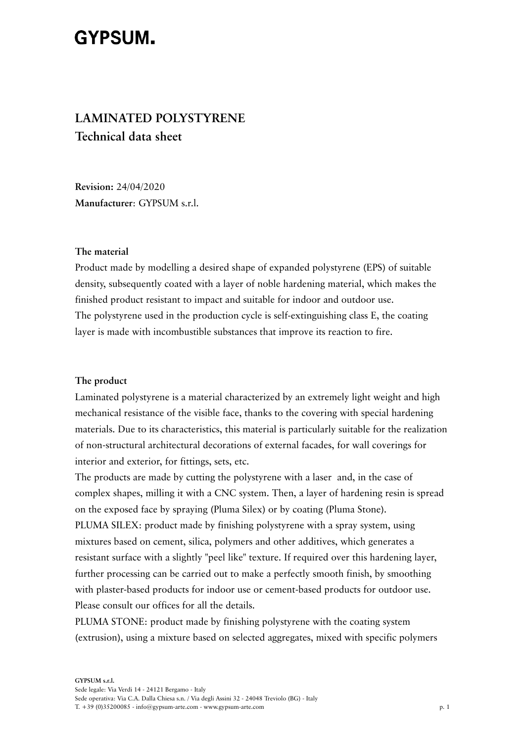# GYPSUM.

# **LAMINATED POLYSTYRENE Technical data sheet**

**Revision:** 24/04/2020 **Manufacturer**: GYPSUM s.r.l.

#### **The material**

Product made by modelling a desired shape of expanded polystyrene (EPS) of suitable density, subsequently coated with a layer of noble hardening material, which makes the finished product resistant to impact and suitable for indoor and outdoor use. The polystyrene used in the production cycle is self-extinguishing class E, the coating layer is made with incombustible substances that improve its reaction to fire.

#### **The product**

Laminated polystyrene is a material characterized by an extremely light weight and high mechanical resistance of the visible face, thanks to the covering with special hardening materials. Due to its characteristics, this material is particularly suitable for the realization of non-structural architectural decorations of external facades, for wall coverings for interior and exterior, for fittings, sets, etc.

The products are made by cutting the polystyrene with a laser and, in the case of complex shapes, milling it with a CNC system. Then, a layer of hardening resin is spread on the exposed face by spraying (Pluma Silex) or by coating (Pluma Stone). PLUMA SILEX: product made by finishing polystyrene with a spray system, using mixtures based on cement, silica, polymers and other additives, which generates a resistant surface with a slightly "peel like" texture. If required over this hardening layer, further processing can be carried out to make a perfectly smooth finish, by smoothing with plaster-based products for indoor use or cement-based products for outdoor use. Please consult our offices for all the details.

PLUMA STONE: product made by finishing polystyrene with the coating system (extrusion), using a mixture based on selected aggregates, mixed with specific polymers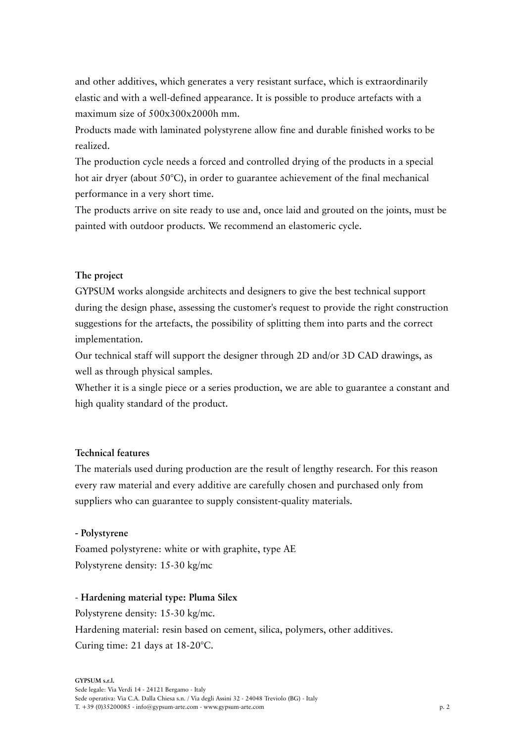and other additives, which generates a very resistant surface, which is extraordinarily elastic and with a well-defined appearance. It is possible to produce artefacts with a maximum size of 500x300x2000h mm.

Products made with laminated polystyrene allow fine and durable finished works to be realized.

The production cycle needs a forced and controlled drying of the products in a special hot air dryer (about 50°C), in order to guarantee achievement of the final mechanical performance in a very short time.

The products arrive on site ready to use and, once laid and grouted on the joints, must be painted with outdoor products. We recommend an elastomeric cycle.

## **The project**

GYPSUM works alongside architects and designers to give the best technical support during the design phase, assessing the customer's request to provide the right construction suggestions for the artefacts, the possibility of splitting them into parts and the correct implementation.

Our technical staff will support the designer through 2D and/or 3D CAD drawings, as well as through physical samples.

Whether it is a single piece or a series production, we are able to guarantee a constant and high quality standard of the product.

# **Technical features**

The materials used during production are the result of lengthy research. For this reason every raw material and every additive are carefully chosen and purchased only from suppliers who can guarantee to supply consistent-quality materials.

#### **- Polystyrene**

Foamed polystyrene: white or with graphite, type AE Polystyrene density: 15-30 kg/mc

### - **Hardening material type: Pluma Silex**

Polystyrene density: 15-30 kg/mc. Hardening material: resin based on cement, silica, polymers, other additives. Curing time: 21 days at 18-20°C.